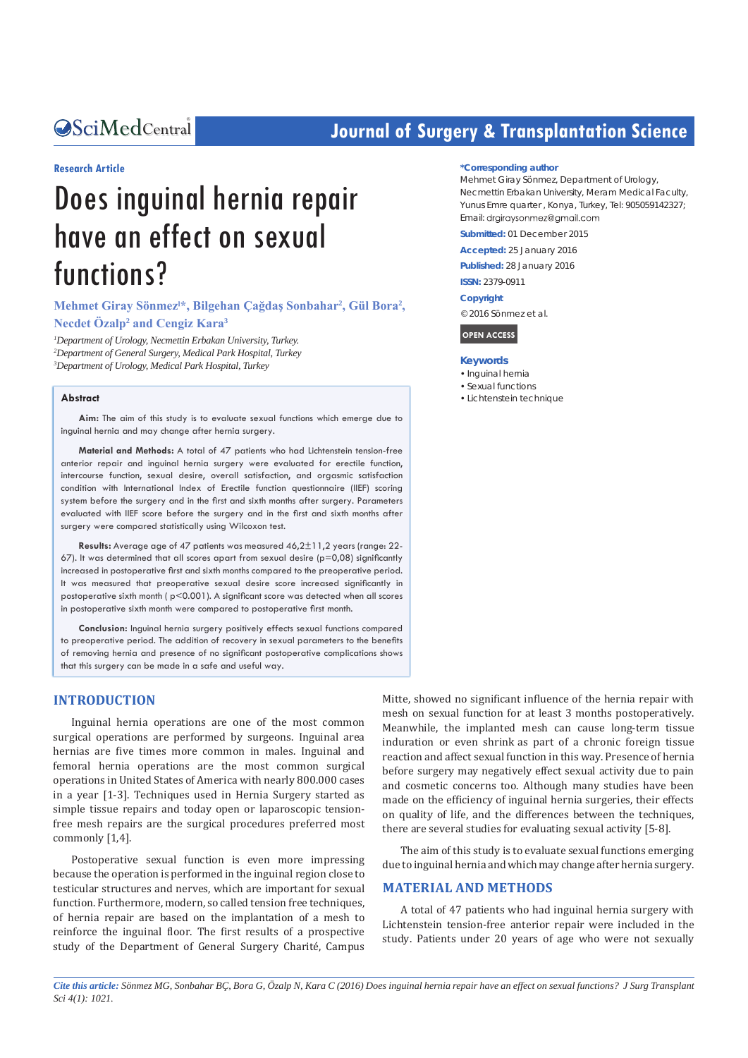Central *Bringing Excellence in Open Access*

# **Journal of Surgery & Transplantation Science**

#### **Research Article**

# Does inguinal hernia repair have an effect on sexual functions?

**Mehmet Giray Sönmezˡ\*, Bilgehan Çağdaş Sonbahar<sup>2</sup> , Gül Bora<sup>2</sup> , Necdet Özalp<sup>2</sup> and Cengiz Kara<sup>3</sup>**

*1 Department of Urology, Necmettin Erbakan University, Turkey. 2 Department of General Surgery, Medical Park Hospital, Turkey 3 Department of Urology, Medical Park Hospital, Turkey*

#### **Abstract**

**Aim:** The aim of this study is to evaluate sexual functions which emerge due to inguinal hernia and may change after hernia surgery.

**Material and Methods:** A total of 47 patients who had Lichtenstein tension-free anterior repair and inguinal hernia surgery were evaluated for erectile function, intercourse function, sexual desire, overall satisfaction, and orgasmic satisfaction condition with International Index of Erectile function questionnaire (IIEF) scoring system before the surgery and in the first and sixth months after surgery. Parameters evaluated with IIEF score before the surgery and in the first and sixth months after surgery were compared statistically using Wilcoxon test.

**Results:** Average age of 47 patients was measured 46,2±11,2 years (range: 22- 67). It was determined that all scores apart from sexual desire ( $p=0.08$ ) significantly increased in postoperative first and sixth months compared to the preoperative period. It was measured that preoperative sexual desire score increased significantly in postoperative sixth month ( p<0.001). A significant score was detected when all scores in postoperative sixth month were compared to postoperative first month.

**Conclusion:** Inguinal hernia surgery positively effects sexual functions compared to preoperative period. The addition of recovery in sexual parameters to the benefits of removing hernia and presence of no significant postoperative complications shows that this surgery can be made in a safe and useful way.

#### **INTRODUCTION**

Inguinal hernia operations are one of the most common surgical operations are performed by surgeons. Inguinal area hernias are five times more common in males. Inguinal and femoral hernia operations are the most common surgical operations in United States of America with nearly 800.000 cases in a year [1-3]. Techniques used in Hernia Surgery started as simple tissue repairs and today open or laparoscopic tensionfree mesh repairs are the surgical procedures preferred most commonly [1,4].

Postoperative sexual function is even more impressing because the operation is performed in the inguinal region close to testicular structures and nerves, which are important for sexual function. Furthermore, modern, so called tension free techniques, of hernia repair are based on the implantation of a mesh to reinforce the inguinal floor. The first results of a prospective study of the Department of General Surgery Charité, Campus

#### **\*Corresponding author**

Mehmet Giray Sönmez, Department of Urology, Necmettin Erbakan University, Meram Medical Faculty, Yunus Emre quarter , Konya, Turkey, Tel: 905059142327; Email: drgiraysonmez@gmail.com

**Submitted:** 01 December 2015

**Accepted:** 25 January 2016

**Published:** 28 January 2016

**ISSN:** 2379-0911

**Copyright**

© 2016 Sönmez et al.

**OPEN ACCESS**

#### **Keywords**

- • Inguinal hernia
- Sexual functions
- • Lichtenstein technique

Mitte, showed no significant influence of the hernia repair with mesh on sexual function for at least 3 months postoperatively. Meanwhile, the implanted mesh can cause long-term tissue induration or even shrink as part of a chronic foreign tissue reaction and affect sexual function in this way. Presence of hernia before surgery may negatively effect sexual activity due to pain and cosmetic concerns too. Although many studies have been made on the efficiency of inguinal hernia surgeries, their effects on quality of life, and the differences between the techniques, there are several studies for evaluating sexual activity [5-8].

The aim of this study is to evaluate sexual functions emerging due to inguinal hernia and which may change after hernia surgery.

### **MATERIAL AND METHODS**

A total of 47 patients who had inguinal hernia surgery with Lichtenstein tension-free anterior repair were included in the study. Patients under 20 years of age who were not sexually

*Cite this article: Sönmez MG, Sonbahar BÇ, Bora G, Özalp N, Kara C (2016) Does inguinal hernia repair have an effect on sexual functions? J Surg Transplant Sci 4(1): 1021.*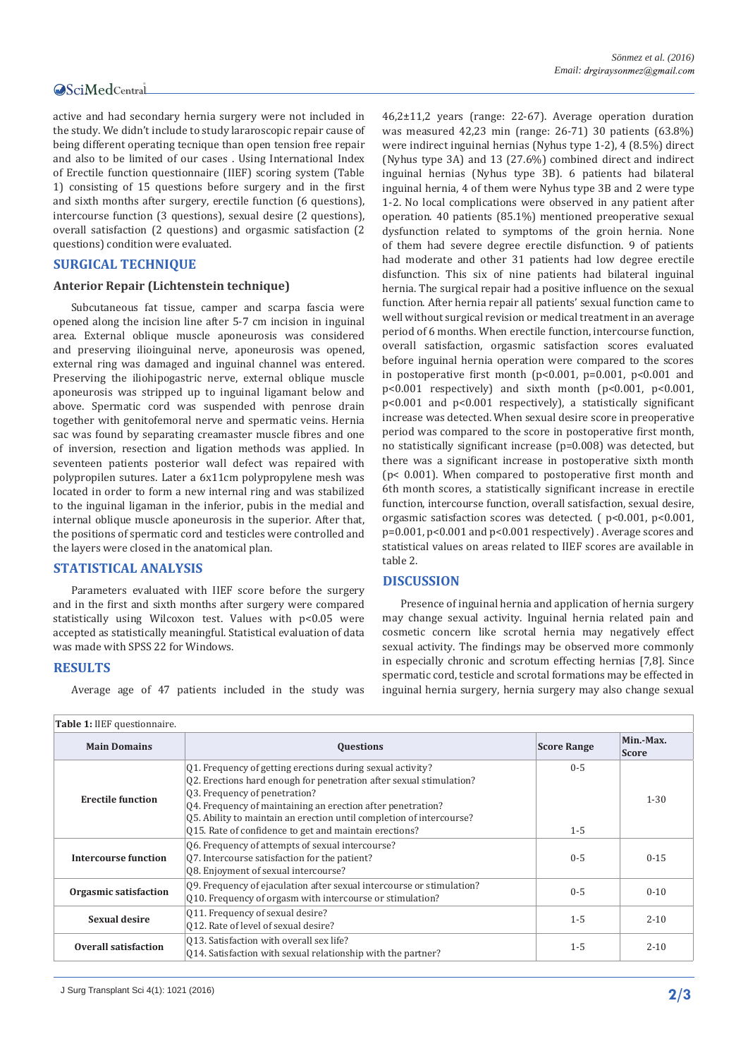## Central

active and had secondary hernia surgery were not included in the study. We didn't include to study lararoscopic repair cause of being different operating tecnique than open tension free repair and also to be limited of our cases . Using International Index of Erectile function questionnaire (IIEF) scoring system (Table 1) consisting of 15 questions before surgery and in the first and sixth months after surgery, erectile function (6 questions), intercourse function (3 questions), sexual desire (2 questions), overall satisfaction (2 questions) and orgasmic satisfaction (2 questions) condition were evaluated.

### **SURGICAL TECHNIQUE**

#### **Anterior Repair (Lichtenstein technique)**

Subcutaneous fat tissue, camper and scarpa fascia were opened along the incision line after 5-7 cm incision in inguinal area. External oblique muscle aponeurosis was considered and preserving ilioinguinal nerve, aponeurosis was opened, external ring was damaged and inguinal channel was entered. Preserving the iliohipogastric nerve, external oblique muscle aponeurosis was stripped up to inguinal ligamant below and above. Spermatic cord was suspended with penrose drain together with genitofemoral nerve and spermatic veins. Hernia sac was found by separating creamaster muscle fibres and one of inversion, resection and ligation methods was applied. In seventeen patients posterior wall defect was repaired with polypropilen sutures. Later a 6x11cm polypropylene mesh was located in order to form a new internal ring and was stabilized to the inguinal ligaman in the inferior, pubis in the medial and internal oblique muscle aponeurosis in the superior. After that, the positions of spermatic cord and testicles were controlled and the layers were closed in the anatomical plan.

#### **STATISTICAL ANALYSIS**

Parameters evaluated with IIEF score before the surgery and in the first and sixth months after surgery were compared statistically using Wilcoxon test. Values with p<0.05 were accepted as statistically meaningful. Statistical evaluation of data was made with SPSS 22 for Windows.

#### **RESULTS**

Average age of 47 patients included in the study was

46,2±11,2 years (range: 22-67). Average operation duration was measured 42,23 min (range: 26-71) 30 patients (63.8%) were indirect inguinal hernias (Nyhus type 1-2), 4 (8.5%) direct (Nyhus type 3A) and 13 (27.6%) combined direct and indirect inguinal hernias (Nyhus type 3B). 6 patients had bilateral inguinal hernia, 4 of them were Nyhus type 3B and 2 were type 1-2. No local complications were observed in any patient after operation. 40 patients (85.1%) mentioned preoperative sexual dysfunction related to symptoms of the groin hernia. None of them had severe degree erectile disfunction. 9 of patients had moderate and other 31 patients had low degree erectile disfunction. This six of nine patients had bilateral inguinal hernia. The surgical repair had a positive influence on the sexual function. After hernia repair all patients' sexual function came to well without surgical revision or medical treatment in an average period of 6 months. When erectile function, intercourse function, overall satisfaction, orgasmic satisfaction scores evaluated before inguinal hernia operation were compared to the scores in postoperative first month ( $p<0.001$ ,  $p=0.001$ ,  $p<0.001$  and p<0.001 respectively) and sixth month (p<0.001, p<0.001, p<0.001 and p<0.001 respectively), a statistically significant increase was detected. When sexual desire score in preoperative period was compared to the score in postoperative first month, no statistically significant increase (p=0.008) was detected, but there was a significant increase in postoperative sixth month (p< 0.001). When compared to postoperative first month and 6th month scores, a statistically significant increase in erectile function, intercourse function, overall satisfaction, sexual desire, orgasmic satisfaction scores was detected. ( p<0.001, p<0.001, p=0.001, p<0.001 and p<0.001 respectively) . Average scores and statistical values on areas related to IIEF scores are available in table 2.

#### **DISCUSSION**

Presence of inguinal hernia and application of hernia surgery may change sexual activity. Inguinal hernia related pain and cosmetic concern like scrotal hernia may negatively effect sexual activity. The findings may be observed more commonly in especially chronic and scrotum effecting hernias [7,8]. Since spermatic cord, testicle and scrotal formations may be effected in inguinal hernia surgery, hernia surgery may also change sexual

| Table 1: IIEF questionnaire. |                                                                                                                                                                                                                                                                                                                                                                     |                    |                           |  |  |  |  |  |
|------------------------------|---------------------------------------------------------------------------------------------------------------------------------------------------------------------------------------------------------------------------------------------------------------------------------------------------------------------------------------------------------------------|--------------------|---------------------------|--|--|--|--|--|
| <b>Main Domains</b>          | <b>Questions</b>                                                                                                                                                                                                                                                                                                                                                    | <b>Score Range</b> | Min.-Max.<br><b>Score</b> |  |  |  |  |  |
| <b>Erectile function</b>     | Q1. Frequency of getting erections during sexual activity?<br>Q2. Erections hard enough for penetration after sexual stimulation?<br>Q3. Frequency of penetration?<br>Q4. Frequency of maintaining an erection after penetration?<br>Q5. Ability to maintain an erection until completion of intercourse?<br>Q15. Rate of confidence to get and maintain erections? | $0 - 5$<br>$1 - 5$ | $1 - 30$                  |  |  |  |  |  |
| <b>Intercourse function</b>  | Q6. Frequency of attempts of sexual intercourse?<br>07. Intercourse satisfaction for the patient?<br>Q8. Enjoyment of sexual intercourse?                                                                                                                                                                                                                           | $0 - 5$            | $0 - 15$                  |  |  |  |  |  |
| Orgasmic satisfaction        | Q9. Frequency of ejaculation after sexual intercourse or stimulation?<br>010. Frequency of orgasm with intercourse or stimulation?                                                                                                                                                                                                                                  | $0 - 5$            | $0 - 10$                  |  |  |  |  |  |
| Sexual desire                | Q11. Frequency of sexual desire?<br>012. Rate of level of sexual desire?                                                                                                                                                                                                                                                                                            | $1 - 5$            | $2 - 10$                  |  |  |  |  |  |
| Overall satisfaction         | 013. Satisfaction with overall sex life?<br>014. Satisfaction with sexual relationship with the partner?                                                                                                                                                                                                                                                            | $1 - 5$            | $2 - 10$                  |  |  |  |  |  |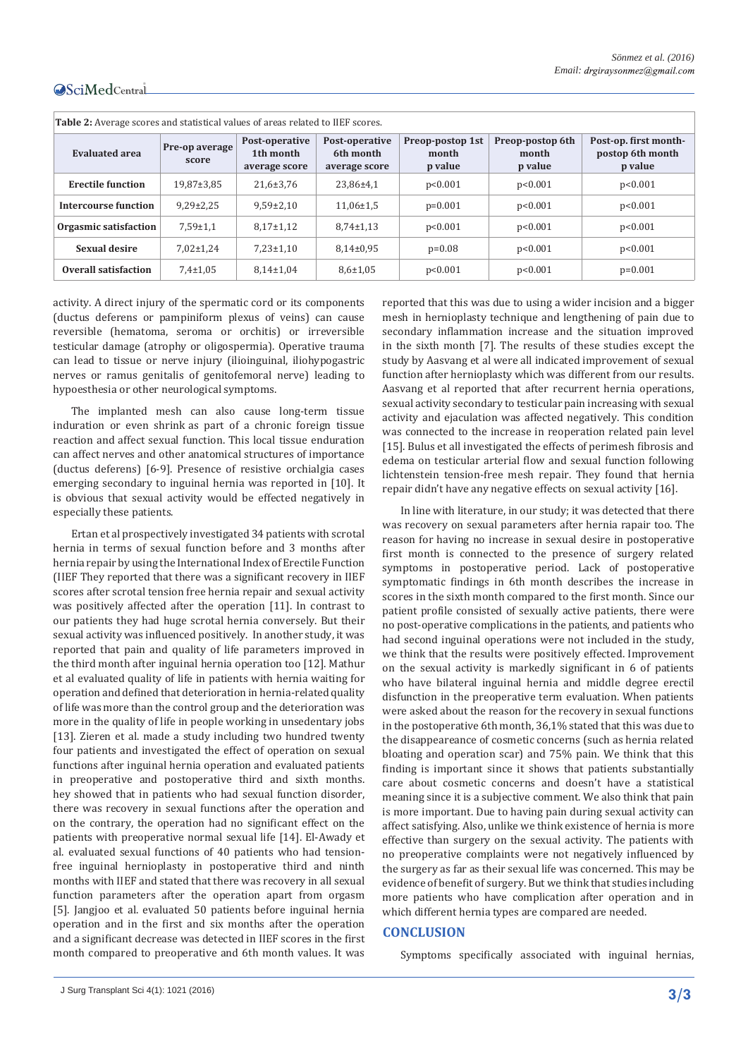# Central

| <b>Table 2:</b> Average scores and statistical values of areas related to IIEF scores. |                         |                                              |                                              |                                      |                                      |                                                      |  |  |  |
|----------------------------------------------------------------------------------------|-------------------------|----------------------------------------------|----------------------------------------------|--------------------------------------|--------------------------------------|------------------------------------------------------|--|--|--|
| <b>Evaluated area</b>                                                                  | Pre-op average<br>score | Post-operative<br>1th month<br>average score | Post-operative<br>6th month<br>average score | Preop-postop 1st<br>month<br>p value | Preop-postop 6th<br>month<br>p value | Post-op. first month-<br>postop 6th month<br>p value |  |  |  |
| <b>Erectile function</b>                                                               | $19,87 \pm 3,85$        | $21,6 \pm 3,76$                              | 23,86±4,1                                    | p<0.001                              | p<0.001                              | p<0.001                                              |  |  |  |
| Intercourse function                                                                   | $9.29 \pm 2.25$         | $9.59 \pm 2.10$                              | $11,06\pm1.5$                                | $p=0.001$                            | p<0.001                              | p<0.001                                              |  |  |  |
| Orgasmic satisfaction                                                                  | $7,59 \pm 1,1$          | $8.17 \pm 1.12$                              | $8.74 \pm 1.13$                              | p<0.001                              | p<0.001                              | p<0.001                                              |  |  |  |
| Sexual desire                                                                          | $7,02 \pm 1,24$         | $7,23 \pm 1,10$                              | $8,14\pm0.95$                                | $p=0.08$                             | p<0.001                              | p<0.001                                              |  |  |  |
| Overall satisfaction                                                                   | $7,4\pm1,05$            | $8.14 \pm 1.04$                              | $8,6{\pm}1,05$                               | p<0.001                              | p<0.001                              | $p=0.001$                                            |  |  |  |

activity. A direct injury of the spermatic cord or its components (ductus deferens or pampiniform plexus of veins) can cause reversible (hematoma, seroma or orchitis) or irreversible testicular damage (atrophy or oligospermia). Operative trauma can lead to tissue or nerve injury (ilioinguinal, iliohypogastric nerves or ramus genitalis of genitofemoral nerve) leading to hypoesthesia or other neurological symptoms.

The implanted mesh can also cause long-term tissue induration or even shrink as part of a chronic foreign tissue reaction and affect sexual function. This local tissue enduration can affect nerves and other anatomical structures of importance (ductus deferens) [6-9]. Presence of resistive orchialgia cases emerging secondary to inguinal hernia was reported in [10]. It is obvious that sexual activity would be effected negatively in especially these patients.

Ertan et al prospectively investigated 34 patients with scrotal hernia in terms of sexual function before and 3 months after hernia repair by using the International Index of Erectile Function (IIEF They reported that there was a significant recovery in IIEF scores after scrotal tension free hernia repair and sexual activity was positively affected after the operation [11]. In contrast to our patients they had huge scrotal hernia conversely. But their sexual activity was influenced positively. In another study, it was reported that pain and quality of life parameters improved in the third month after inguinal hernia operation too [12]. Mathur et al evaluated quality of life in patients with hernia waiting for operation and defined that deterioration in hernia-related quality of life was more than the control group and the deterioration was more in the quality of life in people working in unsedentary jobs [13]. Zieren et al. made a study including two hundred twenty four patients and investigated the effect of operation on sexual functions after inguinal hernia operation and evaluated patients in preoperative and postoperative third and sixth months. hey showed that in patients who had sexual function disorder, there was recovery in sexual functions after the operation and on the contrary, the operation had no significant effect on the patients with preoperative normal sexual life [14]. El-Awady et al. evaluated sexual functions of 40 patients who had tensionfree inguinal hernioplasty in postoperative third and ninth months with IIEF and stated that there was recovery in all sexual function parameters after the operation apart from orgasm [5]. Jangjoo et al. evaluated 50 patients before inguinal hernia operation and in the first and six months after the operation and a significant decrease was detected in IIEF scores in the first month compared to preoperative and 6th month values. It was

reported that this was due to using a wider incision and a bigger mesh in hernioplasty technique and lengthening of pain due to secondary inflammation increase and the situation improved in the sixth month [7]. The results of these studies except the study by Aasvang et al were all indicated improvement of sexual function after hernioplasty which was different from our results. Aasvang et al reported that after recurrent hernia operations, sexual activity secondary to testicular pain increasing with sexual activity and ejaculation was affected negatively. This condition was connected to the increase in reoperation related pain level [15]. Bulus et all investigated the effects of perimesh fibrosis and edema on testicular arterial flow and sexual function following lichtenstein tension-free mesh repair. They found that hernia repair didn't have any negative effects on sexual activity [16].

In line with literature, in our study; it was detected that there was recovery on sexual parameters after hernia rapair too. The reason for having no increase in sexual desire in postoperative first month is connected to the presence of surgery related symptoms in postoperative period. Lack of postoperative symptomatic findings in 6th month describes the increase in scores in the sixth month compared to the first month. Since our patient profile consisted of sexually active patients, there were no post-operative complications in the patients, and patients who had second inguinal operations were not included in the study, we think that the results were positively effected. Improvement on the sexual activity is markedly significant in 6 of patients who have bilateral inguinal hernia and middle degree erectil disfunction in the preoperative term evaluation. When patients were asked about the reason for the recovery in sexual functions in the postoperative 6th month, 36,1% stated that this was due to the disappeareance of cosmetic concerns (such as hernia related bloating and operation scar) and 75% pain. We think that this finding is important since it shows that patients substantially care about cosmetic concerns and doesn't have a statistical meaning since it is a subjective comment. We also think that pain is more important. Due to having pain during sexual activity can affect satisfying. Also, unlike we think existence of hernia is more effective than surgery on the sexual activity. The patients with no preoperative complaints were not negatively influenced by the surgery as far as their sexual life was concerned. This may be evidence of benefit of surgery. But we think that studies including more patients who have complication after operation and in which different hernia types are compared are needed.

#### **CONCLUSION**

Symptoms specifically associated with inguinal hernias,

J Surg Transplant Sci 4(1): 1021 (2016) **3/3**